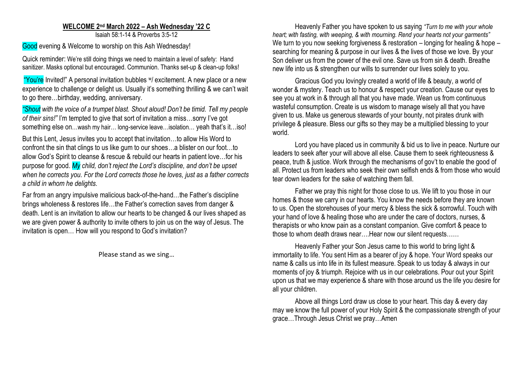## **WELCOME 2 nd March 2022 – Ash Wednesday '22 C** Isaiah 58:1-14 & Proverbs 3:5-12

Good evening & Welcome to worship on this Ash Wednesday!

Quick reminder: We're still doing things we need to maintain a level of safety: Hand sanitizer. Masks optional but encouraged. Communion. Thanks set-up & clean-up folks!

"You're Invited!" A personal invitation bubbles W excitement. A new place or a new experience to challenge or delight us. Usually it's something thrilling & we can't wait to go there…birthday, wedding, anniversary.

*"Shout with the voice of a trumpet blast. Shout aloud! Don't be timid. Tell my people of their sins!"* I'm tempted to give that sort of invitation a miss…sorry I've got something else on…wash my hair… long-service leave…isolation… yeah that's it…iso!

But this Lent, Jesus invites you to accept that invitation…to allow His Word to confront the sin that clings to us like gum to our shoes…a blister on our foot…to allow God's Spirit to cleanse & rescue & rebuild our hearts in patient love…for his purpose for good. *My child, don't reject the Lord's discipline, and don't be upset when he corrects you. For the Lord corrects those he loves, just as a father corrects a child in whom he delights.*

Far from an angry impulsive malicious back-of-the-hand…the Father's discipline brings wholeness & restores life…the Father's correction saves from danger & death. Lent is an invitation to allow our hearts to be changed & our lives shaped as we are given power & authority to invite others to join us on the way of Jesus. The invitation is open… How will you respond to God's invitation?

Please stand as we sing…

Heavenly Father you have spoken to us saying *"Turn to me with your whole heart; with fasting, with weeping, & with mourning. Rend your hearts not your garments"*  We turn to you now seeking forgiveness & restoration – longing for healing & hope – searching for meaning & purpose in our lives & the lives of those we love. By your Son deliver us from the power of the evil one. Save us from sin & death. Breathe new life into us & strengthen our wills to surrender our lives solely to you.

Gracious God you lovingly created a world of life & beauty, a world of wonder & mystery. Teach us to honour & respect your creation. Cause our eyes to see you at work in & through all that you have made. Wean us from continuous wasteful consumption. Create is us wisdom to manage wisely all that you have given to us. Make us generous stewards of your bounty, not pirates drunk with privilege & pleasure. Bless our gifts so they may be a multiplied blessing to your world.

Lord you have placed us in community & bid us to live in peace. Nurture our leaders to seek after your will above all else. Cause them to seek righteousness & peace, truth & justice. Work through the mechanisms of gov't to enable the good of all. Protect us from leaders who seek their own selfish ends & from those who would tear down leaders for the sake of watching them fall.

Father we pray this night for those close to us. We lift to you those in our homes & those we carry in our hearts. You know the needs before they are known to us. Open the storehouses of your mercy & bless the sick & sorrowful. Touch with your hand of love & healing those who are under the care of doctors, nurses, & therapists or who know pain as a constant companion. Give comfort & peace to those to whom death draws near….Hear now our silent requests……

Heavenly Father your Son Jesus came to this world to bring light & immortality to life. You sent Him as a bearer of joy & hope. Your Word speaks our name & calls us into life in its fullest measure. Speak to us today & always in our moments of joy & triumph. Rejoice with us in our celebrations. Pour out your Spirit upon us that we may experience & share with those around us the life you desire for all your children.

Above all things Lord draw us close to your heart. This day & every day may we know the full power of your Holy Spirit & the compassionate strength of your grace…Through Jesus Christ we pray…Amen